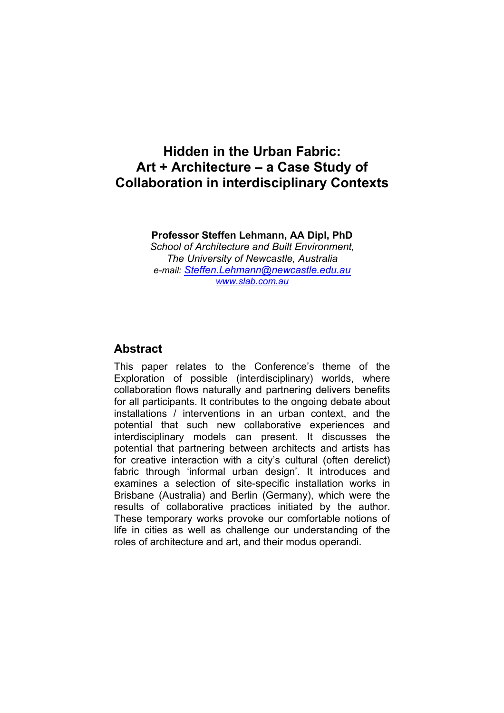# **Hidden in the Urban Fabric: Art + Architecture – a Case Study of Collaboration in interdisciplinary Contexts**

**Professor Steffen Lehmann, AA Dipl, PhD**  *School of Architecture and Built Environment, The University of Newcastle, Australia e-mail: Steffen.Lehmann@newcastle.edu.au www.slab.com.au*

#### **Abstract**

This paper relates to the Conference's theme of the Exploration of possible (interdisciplinary) worlds, where collaboration flows naturally and partnering delivers benefits for all participants. It contributes to the ongoing debate about installations / interventions in an urban context, and the potential that such new collaborative experiences and interdisciplinary models can present. It discusses the potential that partnering between architects and artists has for creative interaction with a city's cultural (often derelict) fabric through 'informal urban design'. It introduces and examines a selection of site-specific installation works in Brisbane (Australia) and Berlin (Germany), which were the results of collaborative practices initiated by the author. These temporary works provoke our comfortable notions of life in cities as well as challenge our understanding of the roles of architecture and art, and their modus operandi.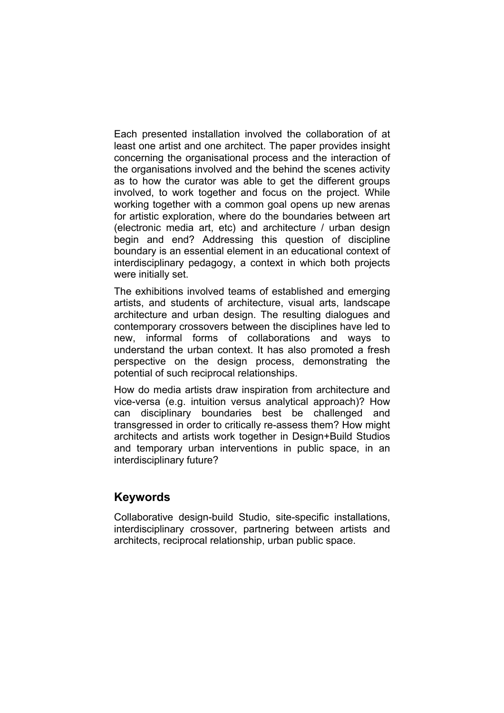Each presented installation involved the collaboration of at least one artist and one architect. The paper provides insight concerning the organisational process and the interaction of the organisations involved and the behind the scenes activity as to how the curator was able to get the different groups involved, to work together and focus on the project. While working together with a common goal opens up new arenas for artistic exploration, where do the boundaries between art (electronic media art, etc) and architecture / urban design begin and end? Addressing this question of discipline boundary is an essential element in an educational context of interdisciplinary pedagogy, a context in which both projects were initially set.

The exhibitions involved teams of established and emerging artists, and students of architecture, visual arts, landscape architecture and urban design. The resulting dialogues and contemporary crossovers between the disciplines have led to new, informal forms of collaborations and ways to understand the urban context. It has also promoted a fresh perspective on the design process, demonstrating the potential of such reciprocal relationships.

How do media artists draw inspiration from architecture and vice-versa (e.g. intuition versus analytical approach)? How can disciplinary boundaries best be challenged and transgressed in order to critically re-assess them? How might architects and artists work together in Design+Build Studios and temporary urban interventions in public space, in an interdisciplinary future?

#### **Keywords**

Collaborative design-build Studio, site-specific installations, interdisciplinary crossover, partnering between artists and architects, reciprocal relationship, urban public space.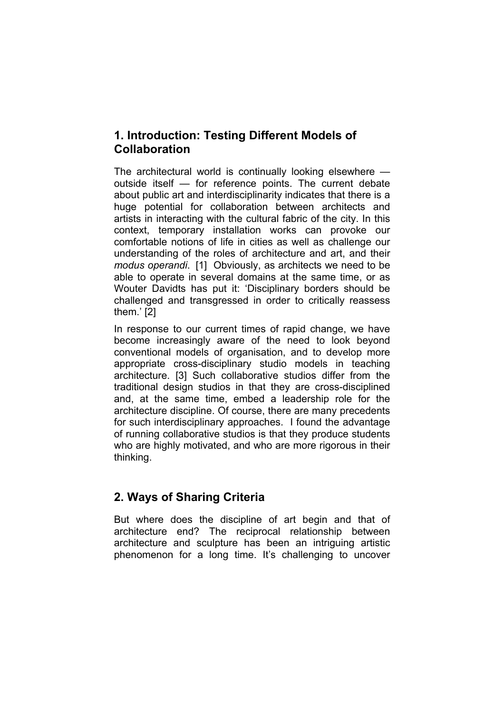## **1. Introduction: Testing Different Models of Collaboration**

The architectural world is continually looking elsewhere outside itself — for reference points. The current debate about public art and interdisciplinarity indicates that there is a huge potential for collaboration between architects and artists in interacting with the cultural fabric of the city. In this context, temporary installation works can provoke our comfortable notions of life in cities as well as challenge our understanding of the roles of architecture and art, and their *modus operandi*. [1] Obviously, as architects we need to be able to operate in several domains at the same time, or as Wouter Davidts has put it: 'Disciplinary borders should be challenged and transgressed in order to critically reassess them.' [2]

In response to our current times of rapid change, we have become increasingly aware of the need to look beyond conventional models of organisation, and to develop more appropriate cross-disciplinary studio models in teaching architecture. [3] Such collaborative studios differ from the traditional design studios in that they are cross-disciplined and, at the same time, embed a leadership role for the architecture discipline. Of course, there are many precedents for such interdisciplinary approaches. I found the advantage of running collaborative studios is that they produce students who are highly motivated, and who are more rigorous in their thinking.

## **2. Ways of Sharing Criteria**

But where does the discipline of art begin and that of architecture end? The reciprocal relationship between architecture and sculpture has been an intriguing artistic phenomenon for a long time. It's challenging to uncover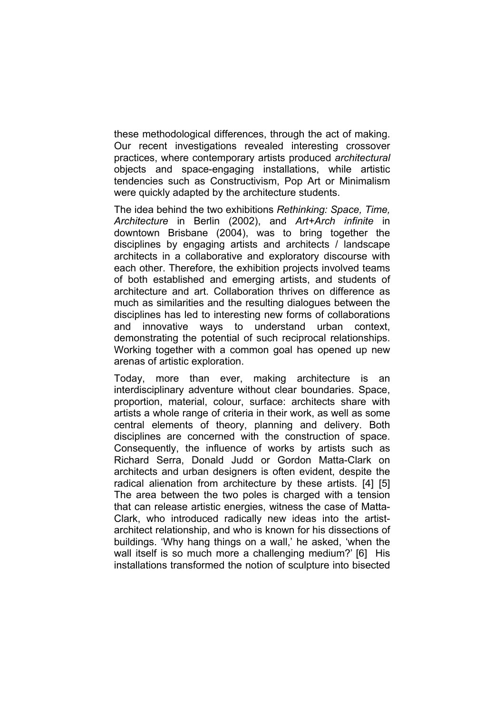these methodological differences, through the act of making. Our recent investigations revealed interesting crossover practices, where contemporary artists produced *architectural* objects and space-engaging installations, while artistic tendencies such as Constructivism, Pop Art or Minimalism were quickly adapted by the architecture students.

The idea behind the two exhibitions *Rethinking: Space, Time, Architecture* in Berlin (2002), and *Art+Arch infinite* in downtown Brisbane (2004), was to bring together the disciplines by engaging artists and architects / landscape architects in a collaborative and exploratory discourse with each other. Therefore, the exhibition projects involved teams of both established and emerging artists, and students of architecture and art. Collaboration thrives on difference as much as similarities and the resulting dialogues between the disciplines has led to interesting new forms of collaborations and innovative ways to understand urban context, demonstrating the potential of such reciprocal relationships. Working together with a common goal has opened up new arenas of artistic exploration.

Today, more than ever, making architecture is an interdisciplinary adventure without clear boundaries. Space, proportion, material, colour, surface: architects share with artists a whole range of criteria in their work, as well as some central elements of theory, planning and delivery. Both disciplines are concerned with the construction of space. Consequently, the influence of works by artists such as Richard Serra, Donald Judd or Gordon Matta-Clark on architects and urban designers is often evident, despite the radical alienation from architecture by these artists. [4] [5] The area between the two poles is charged with a tension that can release artistic energies, witness the case of Matta-Clark, who introduced radically new ideas into the artistarchitect relationship, and who is known for his dissections of buildings. 'Why hang things on a wall,' he asked, 'when the wall itself is so much more a challenging medium?' [6] His installations transformed the notion of sculpture into bisected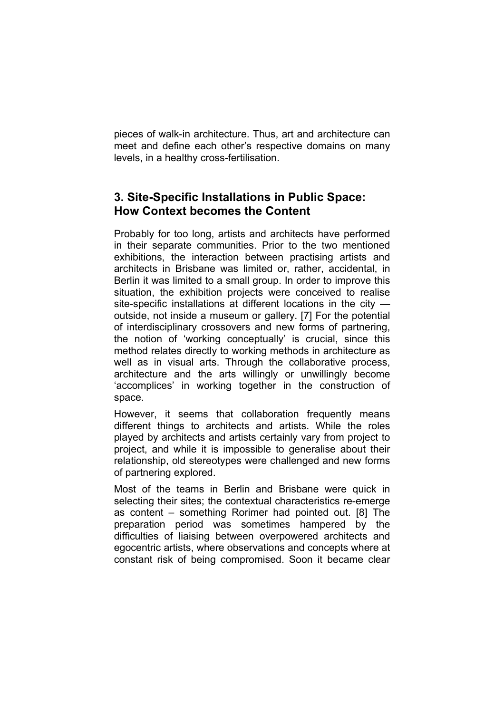pieces of walk-in architecture. Thus, art and architecture can meet and define each other's respective domains on many levels, in a healthy cross-fertilisation.

# **3. Site-Specific Installations in Public Space: How Context becomes the Content**

Probably for too long, artists and architects have performed in their separate communities. Prior to the two mentioned exhibitions, the interaction between practising artists and architects in Brisbane was limited or, rather, accidental, in Berlin it was limited to a small group. In order to improve this situation, the exhibition projects were conceived to realise site-specific installations at different locations in the city outside, not inside a museum or gallery. [7] For the potential of interdisciplinary crossovers and new forms of partnering, the notion of 'working conceptually' is crucial, since this method relates directly to working methods in architecture as well as in visual arts. Through the collaborative process, architecture and the arts willingly or unwillingly become 'accomplices' in working together in the construction of space.

However, it seems that collaboration frequently means different things to architects and artists. While the roles played by architects and artists certainly vary from project to project, and while it is impossible to generalise about their relationship, old stereotypes were challenged and new forms of partnering explored.

Most of the teams in Berlin and Brisbane were quick in selecting their sites; the contextual characteristics re-emerge as content – something Rorimer had pointed out. [8] The preparation period was sometimes hampered by the difficulties of liaising between overpowered architects and egocentric artists, where observations and concepts where at constant risk of being compromised. Soon it became clear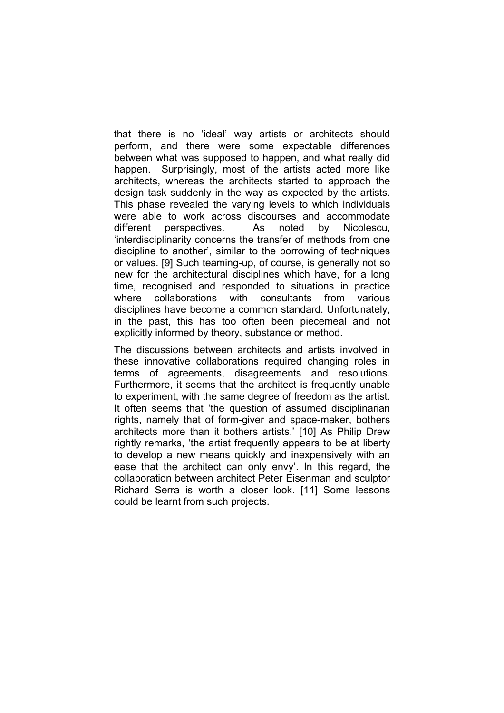that there is no 'ideal' way artists or architects should perform, and there were some expectable differences between what was supposed to happen, and what really did happen. Surprisingly, most of the artists acted more like architects, whereas the architects started to approach the design task suddenly in the way as expected by the artists. This phase revealed the varying levels to which individuals were able to work across discourses and accommodate different perspectives. As noted by Nicolescu, 'interdisciplinarity concerns the transfer of methods from one discipline to another', similar to the borrowing of techniques or values. [9] Such teaming-up, of course, is generally not so new for the architectural disciplines which have, for a long time, recognised and responded to situations in practice where collaborations with consultants from various disciplines have become a common standard. Unfortunately, in the past, this has too often been piecemeal and not explicitly informed by theory, substance or method.

The discussions between architects and artists involved in these innovative collaborations required changing roles in terms of agreements, disagreements and resolutions. Furthermore, it seems that the architect is frequently unable to experiment, with the same degree of freedom as the artist. It often seems that 'the question of assumed disciplinarian rights, namely that of form-giver and space-maker, bothers architects more than it bothers artists.' [10] As Philip Drew rightly remarks, 'the artist frequently appears to be at liberty to develop a new means quickly and inexpensively with an ease that the architect can only envy'. In this regard, the collaboration between architect Peter Eisenman and sculptor Richard Serra is worth a closer look. [11] Some lessons could be learnt from such projects.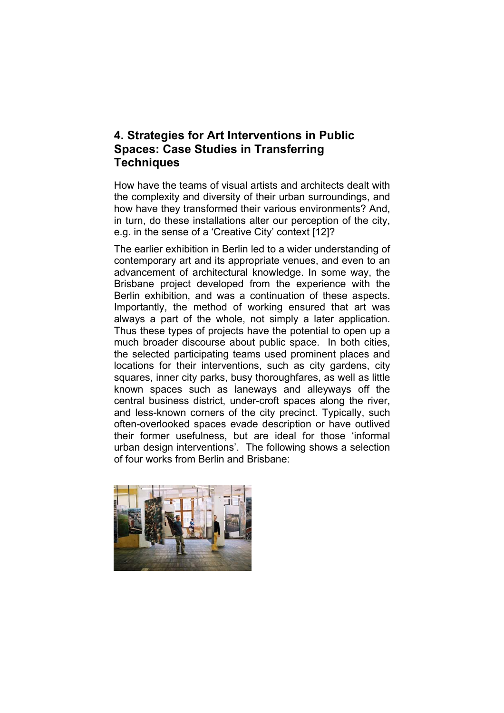## **4. Strategies for Art Interventions in Public Spaces: Case Studies in Transferring Techniques**

How have the teams of visual artists and architects dealt with the complexity and diversity of their urban surroundings, and how have they transformed their various environments? And, in turn, do these installations alter our perception of the city, e.g. in the sense of a 'Creative City' context [12]?

The earlier exhibition in Berlin led to a wider understanding of contemporary art and its appropriate venues, and even to an advancement of architectural knowledge. In some way, the Brisbane project developed from the experience with the Berlin exhibition, and was a continuation of these aspects. Importantly, the method of working ensured that art was always a part of the whole, not simply a later application. Thus these types of projects have the potential to open up a much broader discourse about public space. In both cities, the selected participating teams used prominent places and locations for their interventions, such as city gardens, city squares, inner city parks, busy thoroughfares, as well as little known spaces such as laneways and alleyways off the central business district, under-croft spaces along the river, and less-known corners of the city precinct. Typically, such often-overlooked spaces evade description or have outlived their former usefulness, but are ideal for those 'informal urban design interventions'. The following shows a selection of four works from Berlin and Brisbane:

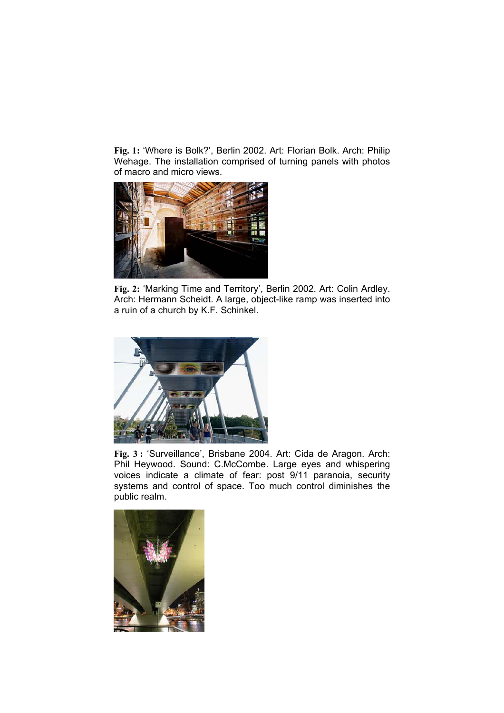**Fig. 1:** 'Where is Bolk?', Berlin 2002. Art: Florian Bolk. Arch: Philip Wehage. The installation comprised of turning panels with photos of macro and micro views.



**Fig. 2:** 'Marking Time and Territory', Berlin 2002. Art: Colin Ardley. Arch: Hermann Scheidt. A large, object-like ramp was inserted into a ruin of a church by K.F. Schinkel.



**Fig. 3 :** 'Surveillance', Brisbane 2004. Art: Cida de Aragon. Arch: Phil Heywood. Sound: C.McCombe. Large eyes and whispering voices indicate a climate of fear: post 9/11 paranoia, security systems and control of space. Too much control diminishes the public realm.

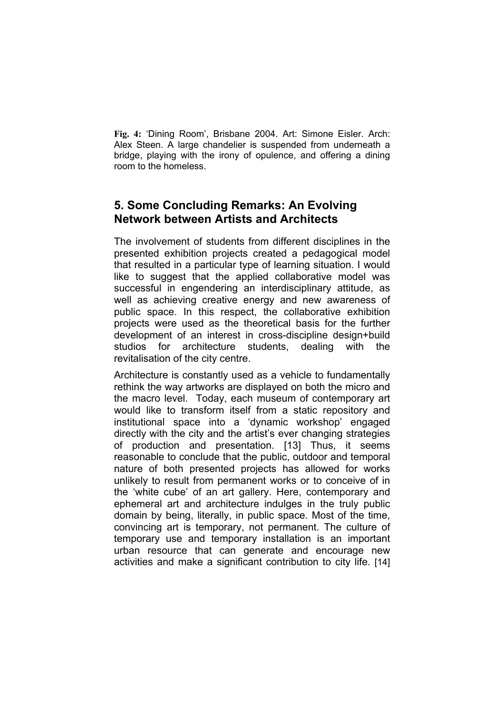**Fig. 4:** 'Dining Room', Brisbane 2004. Art: Simone Eisler. Arch: Alex Steen. A large chandelier is suspended from underneath a bridge, playing with the irony of opulence, and offering a dining room to the homeless.

### **5. Some Concluding Remarks: An Evolving Network between Artists and Architects**

The involvement of students from different disciplines in the presented exhibition projects created a pedagogical model that resulted in a particular type of learning situation. I would like to suggest that the applied collaborative model was successful in engendering an interdisciplinary attitude, as well as achieving creative energy and new awareness of public space. In this respect, the collaborative exhibition projects were used as the theoretical basis for the further development of an interest in cross-discipline design+build studios for architecture students, dealing with the revitalisation of the city centre.

Architecture is constantly used as a vehicle to fundamentally rethink the way artworks are displayed on both the micro and the macro level. Today, each museum of contemporary art would like to transform itself from a static repository and institutional space into a 'dynamic workshop' engaged directly with the city and the artist's ever changing strategies of production and presentation. [13] Thus, it seems reasonable to conclude that the public, outdoor and temporal nature of both presented projects has allowed for works unlikely to result from permanent works or to conceive of in the 'white cube' of an art gallery. Here, contemporary and ephemeral art and architecture indulges in the truly public domain by being, literally, in public space. Most of the time, convincing art is temporary, not permanent. The culture of temporary use and temporary installation is an important urban resource that can generate and encourage new activities and make a significant contribution to city life. [14]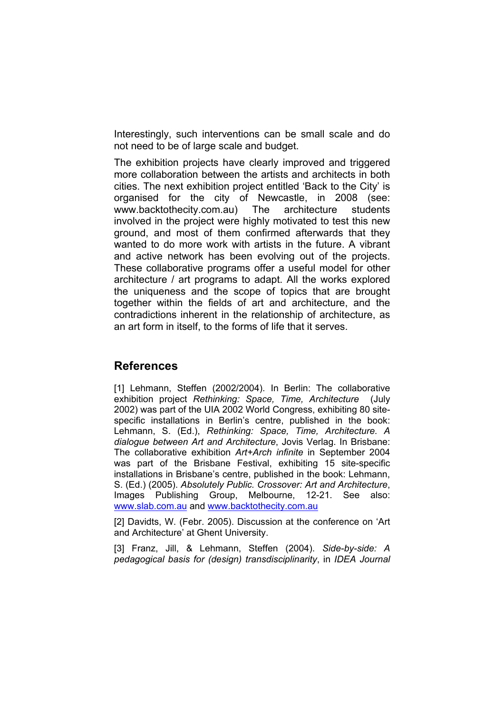Interestingly, such interventions can be small scale and do not need to be of large scale and budget.

The exhibition projects have clearly improved and triggered more collaboration between the artists and architects in both cities. The next exhibition project entitled 'Back to the City' is organised for the city of Newcastle, in 2008 (see: www.backtothecity.com.au) The architecture students involved in the project were highly motivated to test this new ground, and most of them confirmed afterwards that they wanted to do more work with artists in the future. A vibrant and active network has been evolving out of the projects. These collaborative programs offer a useful model for other architecture / art programs to adapt. All the works explored the uniqueness and the scope of topics that are brought together within the fields of art and architecture, and the contradictions inherent in the relationship of architecture, as an art form in itself, to the forms of life that it serves.

#### **References**

[1] Lehmann, Steffen (2002/2004). In Berlin: The collaborative exhibition project *Rethinking: Space, Time, Architecture* (July 2002) was part of the UIA 2002 World Congress, exhibiting 80 sitespecific installations in Berlin's centre, published in the book: Lehmann, S. (Ed.), *Rethinking: Space, Time, Architecture. A dialogue between Art and Architecture*, Jovis Verlag. In Brisbane: The collaborative exhibition *Art+Arch infinite* in September 2004 was part of the Brisbane Festival, exhibiting 15 site-specific installations in Brisbane's centre, published in the book: Lehmann, S. (Ed.) (2005). *Absolutely Public. Crossover: Art and Architecture*, Images Publishing Group, Melbourne, 12-21. See also: www.slab.com.au and www.backtothecity.com.au

[2] Davidts, W. (Febr. 2005). Discussion at the conference on 'Art and Architecture' at Ghent University.

[3] Franz, Jill, & Lehmann, Steffen (2004). *Side-by-side: A pedagogical basis for (design) transdisciplinarity*, in *IDEA Journal*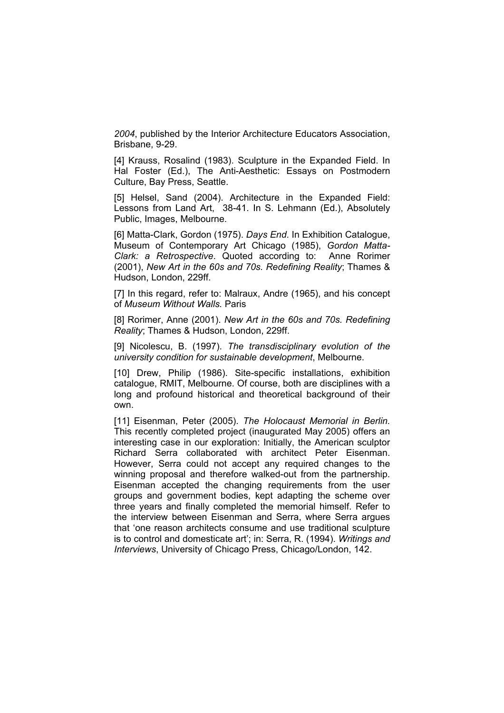*2004*, published by the Interior Architecture Educators Association, Brisbane, 9-29.

[4] Krauss, Rosalind (1983). Sculpture in the Expanded Field. In Hal Foster (Ed.), The Anti-Aesthetic: Essays on Postmodern Culture, Bay Press, Seattle.

[5] Helsel, Sand (2004). Architecture in the Expanded Field: Lessons from Land Art, 38-41. In S. Lehmann (Ed.), Absolutely Public, Images, Melbourne.

[6] Matta-Clark, Gordon (1975). *Days End*. In Exhibition Catalogue, Museum of Contemporary Art Chicago (1985), *Gordon Matta-Clark: a Retrospective*. Quoted according to: Anne Rorimer (2001), *New Art in the 60s and 70s. Redefining Reality*; Thames & Hudson, London, 229ff.

[7] In this regard, refer to: Malraux, Andre (1965), and his concept of *Museum Without Walls.* Paris

[8] Rorimer, Anne (2001). *New Art in the 60s and 70s. Redefining Reality*; Thames & Hudson, London, 229ff.

[9] Nicolescu, B. (1997). *The transdisciplinary evolution of the university condition for sustainable development*, Melbourne.

[10] Drew, Philip (1986). Site-specific installations, exhibition catalogue, RMIT, Melbourne. Of course, both are disciplines with a long and profound historical and theoretical background of their own.

[11] Eisenman, Peter (2005). *The Holocaust Memorial in Berlin.* This recently completed project (inaugurated May 2005) offers an interesting case in our exploration: Initially, the American sculptor Richard Serra collaborated with architect Peter Eisenman. However, Serra could not accept any required changes to the winning proposal and therefore walked-out from the partnership. Eisenman accepted the changing requirements from the user groups and government bodies, kept adapting the scheme over three years and finally completed the memorial himself. Refer to the interview between Eisenman and Serra, where Serra argues that 'one reason architects consume and use traditional sculpture is to control and domesticate art'; in: Serra, R. (1994). *Writings and Interviews*, University of Chicago Press, Chicago/London, 142.